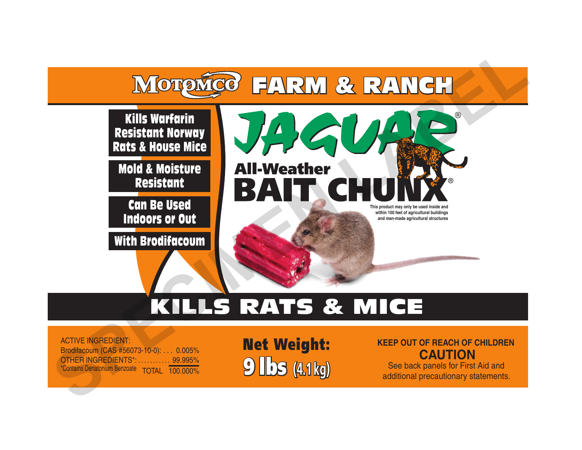

# KILLS RATS & MICE

ACTIVE INGREDIENT: Brodifacoum (CAS #56073-10-0): . . . 0.005% OTHER INGREDIENTS<sup>\*</sup>: ............. 99.995%<br>\*Contains Denatonium Benzoate TOTAL 100.000%

 $\circ$  **lbs** (4.1 kg) Net Weight:

**KEEP OUT OF REACH OF CHILDREN CAUTION**

See back panels for First Aid and additional precautionary statements.